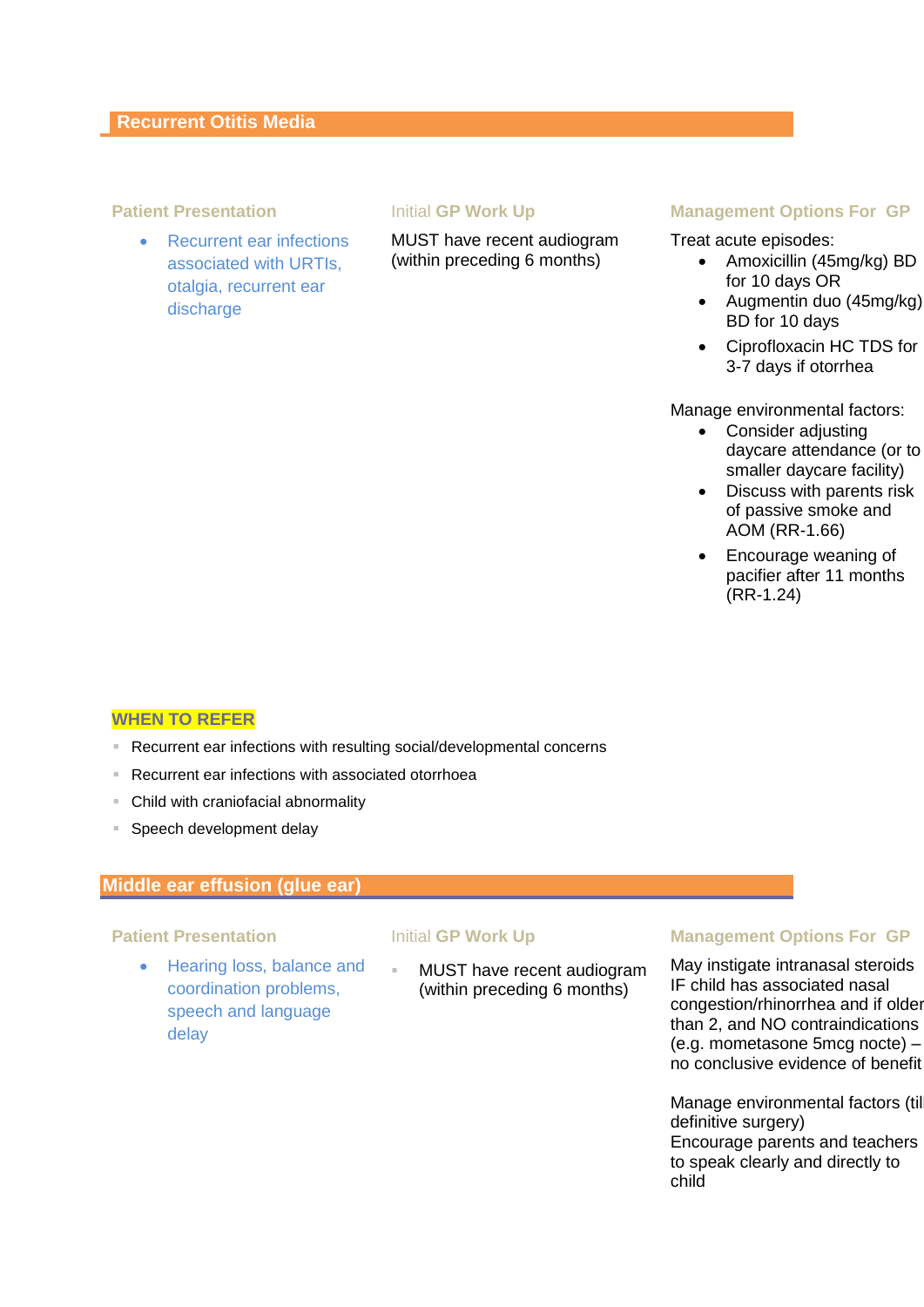• Recurrent ear infections associated with URTIs, otalgia, recurrent ear discharge

MUST have recent audiogram (within preceding 6 months)

### **Patient Presentation Initial GP Work Up Management Options For GP**

Treat acute episodes:

- Amoxicillin (45mg/kg) BD for 10 days OR
- Augmentin duo (45mg/kg) BD for 10 days
- Ciprofloxacin HC TDS for 3-7 days if otorrhea

Manage environmental factors:

- Consider adjusting daycare attendance (or to smaller daycare facility)
- Discuss with parents risk of passive smoke and AOM (RR-1.66)
- Encourage weaning of pacifier after 11 months (RR-1.24)

### **WHEN TO REFER**

- Recurrent ear infections with resulting social/developmental concerns
- Recurrent ear infections with associated otorrhoea
- Child with craniofacial abnormality
- **Speech development delay**

## **Middle ear effusion (glue ear)**

• Hearing loss, balance and coordination problems, speech and language delay

 MUST have recent audiogram (within preceding 6 months)

### **Patient Presentation Transform CP Initial GP Work Up <b>Management Options For GP**

May instigate intranasal steroids IF child has associated nasal congestion/rhinorrhea and if older than 2, and NO contraindications (e.g. mometasone 5mcg nocte) – no conclusive evidence of benefit

Manage environmental factors (till definitive surgery) Encourage parents and teachers to speak clearly and directly to child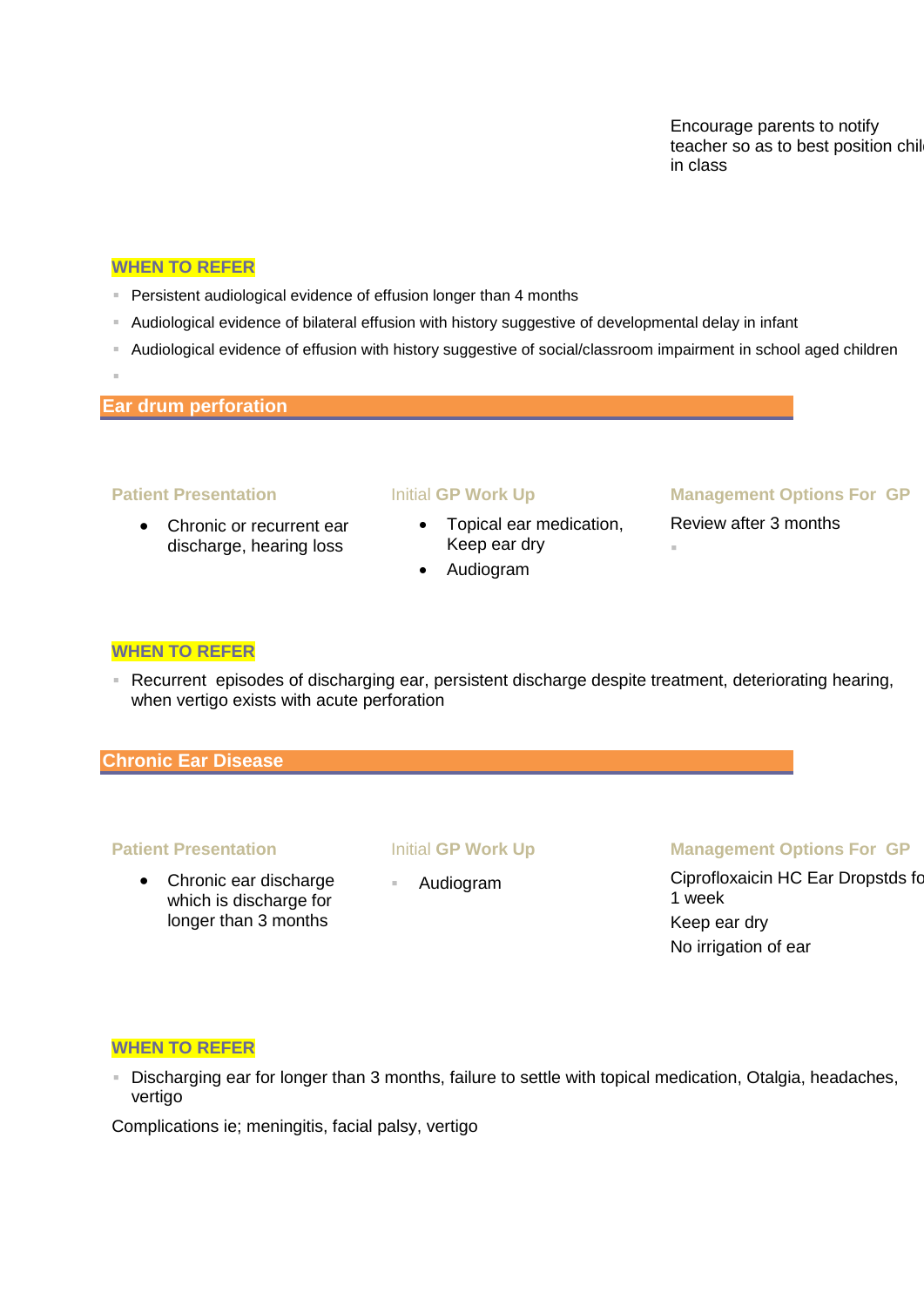Encourage parents to notify teacher so as to best position chil in class

### **WHEN TO REFER**

- **Persistent audiological evidence of effusion longer than 4 months**
- Audiological evidence of bilateral effusion with history suggestive of developmental delay in infant
- Audiological evidence of effusion with history suggestive of social/classroom impairment in school aged children
- **Ear drum perforation**

I.

• Chronic or recurrent ear discharge, hearing loss

- Topical ear medication, Keep ear dry
- Audiogram

### **Patient Presentation Initial GP Work Up Management Options For GP**

Review after 3 months

F

### **WHEN TO REFER**

 Recurrent episodes of discharging ear, persistent discharge despite treatment, deteriorating hearing, when vertigo exists with acute perforation

### **Chronic Ear Disease**

 Chronic ear discharge which is discharge for longer than 3 months

### **Patient Presentation Initial GP Work Up Management Options For GP**

Audiogram Ciprofloxaicin HC Ear Dropstds for 1 week Keep ear dry No irrigation of ear

### **WHEN TO REFER**

 Discharging ear for longer than 3 months, failure to settle with topical medication, Otalgia, headaches, vertigo

Complications ie; meningitis, facial palsy, vertigo